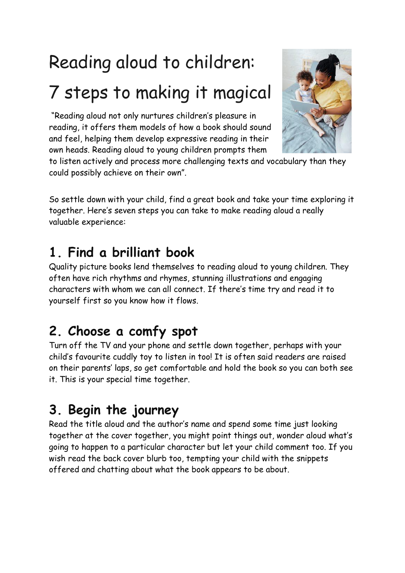# Reading aloud to children: 7 steps to making it magical

"Reading aloud not only nurtures children's pleasure in reading, it offers them models of how a book should sound and feel, helping them develop expressive reading in their own heads. Reading aloud to young children prompts them



to listen actively and process more challenging texts and vocabulary than they could possibly achieve on their own".

So settle down with your child, find a great book and take your time exploring it together. Here's seven steps you can take to make reading aloud a really valuable experience:

## **1. Find a brilliant book**

Quality picture books lend themselves to reading aloud to young children. They often have rich rhythms and rhymes, stunning illustrations and engaging characters with whom we can all connect. If there's time try and read it to yourself first so you know how it flows.

## **2. Choose a comfy spot**

Turn off the TV and your phone and settle down together, perhaps with your child's favourite cuddly toy to listen in too! It is often said readers are raised on their parents' laps, so get comfortable and hold the book so you can both see it. This is your special time together.

## **3. Begin the journey**

Read the title aloud and the author's name and spend some time just looking together at the cover together, you might point things out, wonder aloud what's going to happen to a particular character but let your child comment too. If you wish read the back cover blurb too, tempting your child with the snippets offered and chatting about what the book appears to be about.